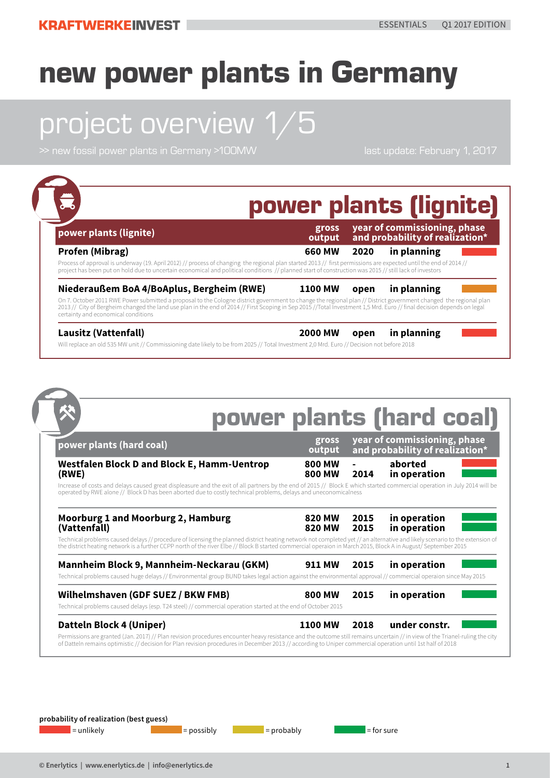# project overview 1/5

| power plants (lignite)                                                                                                                                                                                                                                                                                                                                                                                                          | gross<br>output                |              | year of commissioning, phase<br>and probability of realization* |
|---------------------------------------------------------------------------------------------------------------------------------------------------------------------------------------------------------------------------------------------------------------------------------------------------------------------------------------------------------------------------------------------------------------------------------|--------------------------------|--------------|-----------------------------------------------------------------|
| Profen (Mibrag)<br>Process of approval is underway (19. April 2012) // process of changing the regional plan started 2013 // first permissions are expected until the end of 2014 //<br>project has been put on hold due to uncertain economical and political conditions // planned start of construction was 2015 // still lack of investors                                                                                  | 660 MW                         | 2020         | in planning                                                     |
| Niederaußem BoA 4/BoAplus, Bergheim (RWE)<br>On 7. October 2011 RWE Power submitted a proposal to the Cologne district government to change the regional plan // District government changed the regional plan<br>2013 // City of Bergheim changed the land use plan in the end of 2014 // First Scoping in Sep 2015 //Total Investment 1,5 Mrd. Euro // final decision depends on legal<br>certainty and economical conditions | <b>1100 MW</b>                 | open         | in planning                                                     |
| Lausitz (Vattenfall)<br>Will replace an old 535 MW unit // Commissioning date likely to be from 2025 // Total Investment 2,0 Mrd. Euro // Decision not before 2018                                                                                                                                                                                                                                                              | <b>2000 MW</b>                 | open         | in planning                                                     |
|                                                                                                                                                                                                                                                                                                                                                                                                                                 |                                |              |                                                                 |
|                                                                                                                                                                                                                                                                                                                                                                                                                                 |                                |              | power plants (hard coal)                                        |
| power plants (hard coal)                                                                                                                                                                                                                                                                                                                                                                                                        | gross<br>output                |              | year of commissioning, phase<br>and probability of realization* |
| <b>Westfalen Block D and Block E, Hamm-Uentrop</b><br>(RWE)<br>Increase of costs and delays caused great displeasure and the exit of all partners by the end of 2015 // Block E which started commercial operation in July 2014 will be<br>operated by RWE alone // Block D has been aborted due to costly technical problems, delays and uneconomicalness                                                                      | <b>800 MW</b><br>800 MW        | 2014         | aborted<br>in operation                                         |
| Moorburg 1 and Moorburg 2, Hamburg<br>(Vattenfall)                                                                                                                                                                                                                                                                                                                                                                              | <b>820 MW</b><br><b>820 MW</b> | 2015<br>2015 | in operation<br>in operation                                    |
| Technical problems caused delays // procedure of licensing the planned district heating network not completed yet // an alternative and likely scenario to the extension of<br>the district heating network is a further CCPP north of the river Elbe // Block B started commercial operaion in March 2015, Block A in August/ September 2015                                                                                   |                                |              |                                                                 |
| Mannheim Block 9, Mannheim-Neckarau (GKM)<br>Technical problems caused huge delays // Environmental group BUND takes legal action against the environmental approval // commercial operaion since May 2015                                                                                                                                                                                                                      | <b>911 MW</b>                  | 2015         | in operation                                                    |
| Wilhelmshaven (GDF SUEZ / BKW FMB)<br>Technical problems caused delays (esp. T24 steel) // commercial operation started at the end of October 2015                                                                                                                                                                                                                                                                              | 800 MW                         | 2015         | in operation                                                    |
| Datteln Block 4 (Uniper)<br>Permissions are granted (Jan. 2017) // Plan revision procedures encounter heavy resistance and the outcome still remains uncertain // in view of the Trianel-ruling the city<br>of Datteln remains optimistic // decision for Plan revision procedures in December 2013 // according to Uniper commercial operation until 1st half of 2018                                                          | <b>1100 MW</b>                 | 2018         | under constr.                                                   |
|                                                                                                                                                                                                                                                                                                                                                                                                                                 |                                |              |                                                                 |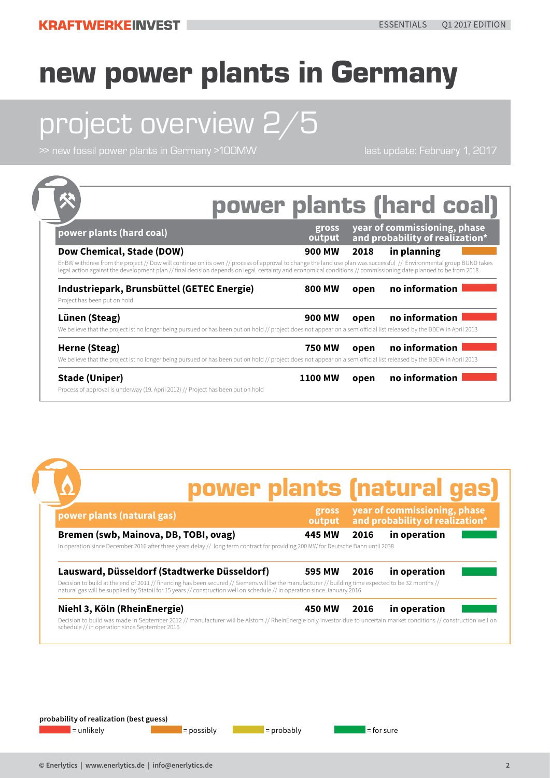# project overview 2/5

>> new fossil power plants in Germany >100MW last update: February 1, 2017

| power plants (hard coal)                                                                                                                                                                                                                                                                                                                                          | gross<br>output |      | year of commissioning, phase<br>and probability of realization* |  |
|-------------------------------------------------------------------------------------------------------------------------------------------------------------------------------------------------------------------------------------------------------------------------------------------------------------------------------------------------------------------|-----------------|------|-----------------------------------------------------------------|--|
| Dow Chemical, Stade (DOW)<br>EnBW withdrew from the project // Dow will continue on its own // process of approval to change the land use plan was successful // Environmental group BUND takes<br>legal action against the development plan // final decision depends on legal certainty and economical conditions // commissioning date planned to be from 2018 | <b>900 MW</b>   | 2018 | in planning                                                     |  |
| Industriepark, Brunsbüttel (GETEC Energie)<br>Project has been put on hold                                                                                                                                                                                                                                                                                        | 800 MW          | open | no information                                                  |  |
| Lünen (Steag)<br>We believe that the project ist no longer being pursued or has been put on hold // project does not appear on a semiofficial list released by the BDEW in April 2013                                                                                                                                                                             | 900 MW          | open | no information                                                  |  |
| Herne (Steag)<br>We believe that the project ist no longer being pursued or has been put on hold // project does not appear on a semiofficial list released by the BDEW in April 2013                                                                                                                                                                             | <b>750 MW</b>   | open | no information                                                  |  |

#### power plants (natural gas)

| power plants (natural gas)                                                                                                                                                                                                                                                      | gross<br>output | year of commissioning, phase<br>and probability of realization* |              |  |  |
|---------------------------------------------------------------------------------------------------------------------------------------------------------------------------------------------------------------------------------------------------------------------------------|-----------------|-----------------------------------------------------------------|--------------|--|--|
| Bremen (swb, Mainova, DB, TOBI, ovag)<br>In operation since December 2016 after three years delay // long term contract for providing 200 MW for Deutsche Bahn until 2038                                                                                                       | <b>445 MW</b>   | 2016                                                            | in operation |  |  |
| Lausward, Düsseldorf (Stadtwerke Düsseldorf)                                                                                                                                                                                                                                    | 595 MW          | 2016                                                            | in operation |  |  |
| Decision to build at the end of 2011 // financing has been secured // Siemens will be the manufacturer // building time expected to be 32 months //<br>natural gas will be supplied by Statoil for 15 years // construction well on schedule // in operation since January 2016 |                 |                                                                 |              |  |  |
| Niehl 3, Köln (RheinEnergie)                                                                                                                                                                                                                                                    | <b>450 MW</b>   | 2016                                                            | in operation |  |  |
| Decision to build was made in September 2012 // manufacturer will be Alstom // RheinEnergie only investor due to uncertain market conditions // construction well on<br>schedule // in operation since September 2016                                                           |                 |                                                                 |              |  |  |

**probability of realization (best guess)**

 $\blacksquare$  = unlikely  $\blacksquare$  = possibly  $\blacksquare$  = probably  $\blacksquare$  = for sure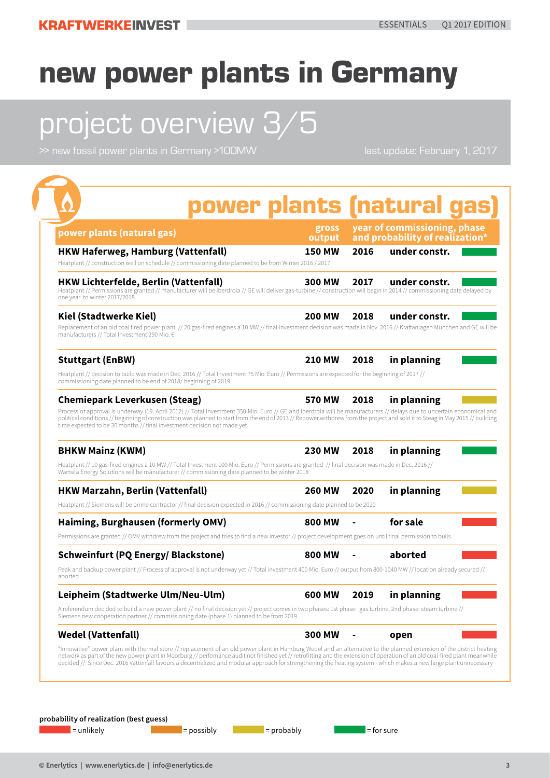# project overview 3/5

>> new fossil power plants in Germany >100MW last update: February 1, 2017

| <b>HKW Haferweg, Hamburg (Vattenfall)</b><br><b>150 MW</b><br>Heatplant // construction well on schedule // commissioning date planned to be from Winter 2016 / 2017<br>300 MW<br><b>200 MW</b><br>Replacement of an old coal fired power plant // 20 gas-fired engines à 10 MW // final investment decision was made in Nov. 2016 // Kraftanlagen München and GE will be<br><b>210 MW</b><br>commissioning date planned to be end of 2018/ beginning of 2019<br><b>570 MW</b><br>Process of approval is underway (19. April 2012) // Total Investment 350 Mio. Euro // GE and Iberdrola will be manufacturers // delays due to uncertain economical and | 2016<br>2017<br>2018 | under constr.<br>under constr.<br>under constr. |  |
|----------------------------------------------------------------------------------------------------------------------------------------------------------------------------------------------------------------------------------------------------------------------------------------------------------------------------------------------------------------------------------------------------------------------------------------------------------------------------------------------------------------------------------------------------------------------------------------------------------------------------------------------------------|----------------------|-------------------------------------------------|--|
| <b>HKW Lichterfelde, Berlin (Vattenfall)</b><br>Heatplant // Permissions are granted // manufacturer will be Iberdrola // GE will deliver gas-turbine // construction will begin in 2014 // commissioning date delayed by<br>one year to winter 2017/2018<br><b>Kiel (Stadtwerke Kiel)</b><br>manufacturers // Total Investment 290 Mio. €<br><b>Stuttgart (EnBW)</b><br>Heatplant // decision to build was made in Dec. 2016 // Total Investment 75 Mio. Euro // Permissions are expected for the beginning of 2017 //<br><b>Chemiepark Leverkusen (Steag)</b>                                                                                          |                      |                                                 |  |
|                                                                                                                                                                                                                                                                                                                                                                                                                                                                                                                                                                                                                                                          |                      |                                                 |  |
|                                                                                                                                                                                                                                                                                                                                                                                                                                                                                                                                                                                                                                                          |                      |                                                 |  |
|                                                                                                                                                                                                                                                                                                                                                                                                                                                                                                                                                                                                                                                          | 2018                 | in planning                                     |  |
|                                                                                                                                                                                                                                                                                                                                                                                                                                                                                                                                                                                                                                                          |                      |                                                 |  |
| political conditions // beginning of construction was planned to start from the end of 2013 // Repower withdrew from the project and sold it to Steag in May 2015 // building<br>time expected to be 30 months // final investment decision not made yet                                                                                                                                                                                                                                                                                                                                                                                                 | 2018                 | in planning                                     |  |
| <b>BHKW Mainz (KWM)</b><br><b>230 MW</b>                                                                                                                                                                                                                                                                                                                                                                                                                                                                                                                                                                                                                 | 2018                 | in planning                                     |  |
| Heatplant // 10 gas-fired engines à 10 MW // Total Investment 100 Mio. Euro // Permissions are granted // final decision was made in Dec. 2016 //<br>Wärtsilä Energy Solutions will be manufacturer // commissioning date planned to be winter 2018                                                                                                                                                                                                                                                                                                                                                                                                      |                      |                                                 |  |
| <b>HKW Marzahn, Berlin (Vattenfall)</b><br>260 MW                                                                                                                                                                                                                                                                                                                                                                                                                                                                                                                                                                                                        | 2020                 | in planning                                     |  |
| Heatplant // Siemens will be prime contractor // final decision expected in 2016 // commissioning date planned to be 2020                                                                                                                                                                                                                                                                                                                                                                                                                                                                                                                                |                      |                                                 |  |
| Haiming, Burghausen (formerly OMV)<br>800 MW                                                                                                                                                                                                                                                                                                                                                                                                                                                                                                                                                                                                             |                      | for sale                                        |  |
| Permissions are granted // OMV withdrew from the project and tries to find a new investor // project development goes on until final permission to buils                                                                                                                                                                                                                                                                                                                                                                                                                                                                                                 |                      |                                                 |  |
| <b>Schweinfurt (PQ Energy/ Blackstone)</b><br>800 MW                                                                                                                                                                                                                                                                                                                                                                                                                                                                                                                                                                                                     |                      | aborted                                         |  |
| Peak and backup power plant // Process of approval is not underway yet // Total investment 400 Mio. Euro // output from 800-1040 MW // location already secured //<br>aborted                                                                                                                                                                                                                                                                                                                                                                                                                                                                            |                      |                                                 |  |
| Leipheim (Stadtwerke Ulm/Neu-Ulm)<br>600 MW                                                                                                                                                                                                                                                                                                                                                                                                                                                                                                                                                                                                              | 2019                 | in planning                                     |  |
| A referendum decided to build a new power plant // no final decision yet // project comes in two phases: 1st phase: gas turbine, 2nd phase: steam turbine //<br>Siemens new cooperation partner // commissioning date (phase 1) planned to be from 2019                                                                                                                                                                                                                                                                                                                                                                                                  |                      |                                                 |  |
| <b>Wedel (Vattenfall)</b><br><b>300 MW</b>                                                                                                                                                                                                                                                                                                                                                                                                                                                                                                                                                                                                               |                      | open                                            |  |
| "Innovative" power plant with thermal store // replacement of an old power plant in Hamburg Wedel and an alternative to the planned extension of the district heating<br>network as part of the new power plant in Moorburg // perfomance audit not finished yet // retrofitting and the extension of operation of an old coal-fired plant meanwhile<br>decided // Since Dec. 2016 Vattenfall favours a decentralized and modular approach for strengthening the heating system - which makes a new large plant unnecessary                                                                                                                              |                      |                                                 |  |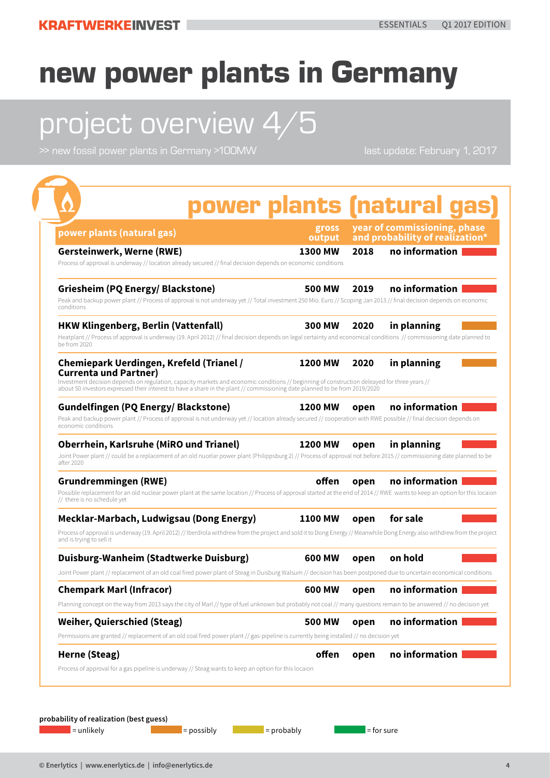# project overview 4/5

>> new fossil power plants in Germany >100MW last update: February 1, 2017

| power plants (natural gas)                                                                                                                                                                                                                                                                                  | gross<br>output |      | year of commissioning, phase<br>and probability of realization* |
|-------------------------------------------------------------------------------------------------------------------------------------------------------------------------------------------------------------------------------------------------------------------------------------------------------------|-----------------|------|-----------------------------------------------------------------|
| <b>Gersteinwerk, Werne (RWE)</b>                                                                                                                                                                                                                                                                            | 1300 MW         | 2018 | no information                                                  |
| Process of approval is underway // location already secured // final decision depends on economic conditions                                                                                                                                                                                                |                 |      |                                                                 |
| Griesheim (PQ Energy/ Blackstone)<br>Peak and backup power plant // Process of approval is not underway yet // Total investment 250 Mio. Euro // Scoping Jan 2013 // final decision depends on economic<br>conditions                                                                                       | 500 MW          | 2019 | no information                                                  |
| <b>HKW Klingenberg, Berlin (Vattenfall)</b><br>Heatplant // Process of approval is underway (19. April 2012) // final decision depends on legal certainty and economical conditions // commissioning date planned to<br>be from 2020                                                                        | 300 MW          | 2020 | in planning                                                     |
| <b>Chemiepark Uerdingen, Krefeld (Trianel /</b>                                                                                                                                                                                                                                                             | <b>1200 MW</b>  | 2020 | in planning                                                     |
| <b>Currenta und Partner)</b><br>Investment decision depends on regulation, capacity markets and economic conditions // beginning of construction deleayed for three years //<br>about 50 investors expressed their interest to have a share in the plant // commissioning date planned to be from 2019/2020 |                 |      |                                                                 |
| <b>Gundelfingen (PQ Energy/ Blackstone)</b>                                                                                                                                                                                                                                                                 | 1200 MW         | open | no information                                                  |
| Peak and backup power plant // Process of approval is not underway yet // location already secured // cooperation with RWE possible // final decision depends on<br>economic conditions                                                                                                                     |                 |      |                                                                 |
| <b>Oberrhein, Karlsruhe (MiRO und Trianel)</b><br>Joint Power plant // could be a replacement of an old nucelar power plant (Philippsburg 2) // Process of approval not before 2015 // commissioning date planned to be<br>after 2020                                                                       | 1200 MW         | open | in planning                                                     |
| Grundremmingen (RWE)<br>Possible replacement for an old nuclear power plant at the same location // Process of approval started at the end of 2014 // RWE wants to keep an option for this locaion<br>// there is no schedule yet                                                                           | offen           | open | no information                                                  |
| Mecklar-Marbach, Ludwigsau (Dong Energy)                                                                                                                                                                                                                                                                    | <b>1100 MW</b>  | open | for sale                                                        |
| Process of approval is underway (19. April 2012) // Iberdrola withdrew from the project and sold it to Dong Energy // Meanwhile Dong Energy also withdrew from the project<br>and is trying to sell it                                                                                                      |                 |      |                                                                 |
| Duisburg-Wanheim (Stadtwerke Duisburg)                                                                                                                                                                                                                                                                      | 600 MW          | open | on hold                                                         |
| Joint Power plant // replacement of an old coal fired power plant of Steag in Duisburg Walsum // decision has been postponed due to uncertain economical conditions                                                                                                                                         |                 |      |                                                                 |
| <b>Chempark Marl (Infracor)</b>                                                                                                                                                                                                                                                                             | 600 MW          | open | no information                                                  |
| Planning concept on the way from 2013 says the city of Marl // type of fuel unknown but probably not coal // many questions remain to be answered // no decision yet                                                                                                                                        |                 |      |                                                                 |
| <b>Weiher, Quierschied (Steag)</b>                                                                                                                                                                                                                                                                          | <b>500 MW</b>   | open | no information                                                  |
| Permissions are granted // replacement of an old coal fired power plant // gas-pipeline is currently being installed // no decision yet                                                                                                                                                                     |                 |      |                                                                 |
| Herne (Steag)                                                                                                                                                                                                                                                                                               | offen           | open | no information                                                  |
| Process of approval for a gas pipeline is underway // Steag wants to keep an option for this locaion                                                                                                                                                                                                        |                 |      |                                                                 |

 $\blacksquare$  = unlikely  $\blacksquare$  =  $\blacksquare$  = possibly  $\blacksquare$  = probably  $\blacksquare$  = for sure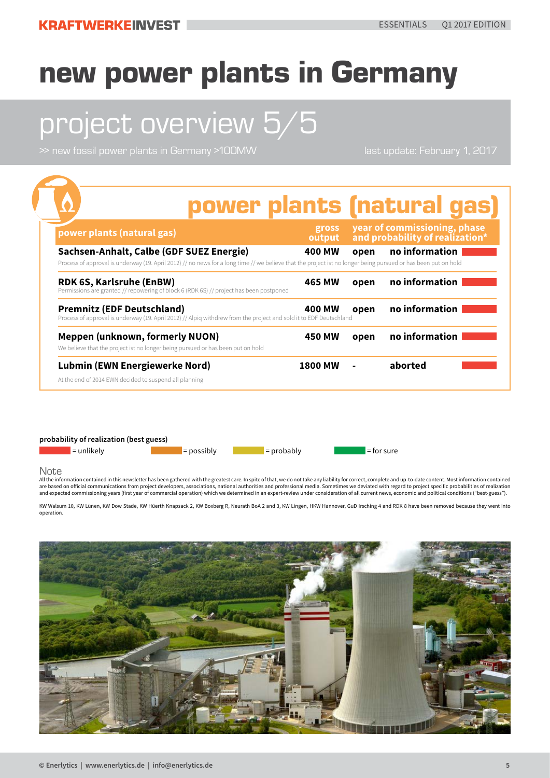# project overview 5/5

>> new fossil power plants in Germany >100MW last update: February 1, 2017

|                                                                                                                                                                                                            |                 |      | power plants (natural gas)                                      |
|------------------------------------------------------------------------------------------------------------------------------------------------------------------------------------------------------------|-----------------|------|-----------------------------------------------------------------|
| power plants (natural gas)                                                                                                                                                                                 | gross<br>output |      | year of commissioning, phase<br>and probability of realization* |
| Sachsen-Anhalt, Calbe (GDF SUEZ Energie)<br>Process of approval is underway (19. April 2012) // no news for a long time // we believe that the project ist no longer being pursued or has been put on hold | 400 MW          | open | no information                                                  |
| <b>RDK 6S, Karlsruhe (EnBW)</b><br>Permissions are granted // repowering of block 6 (RDK 6S) // project has been postponed                                                                                 | 465 MW          | open | no information                                                  |
| <b>Premnitz (EDF Deutschland)</b><br>Process of approval is underway (19. April 2012) // Alpiq withdrew from the project and sold it to EDF Deutschland                                                    | 400 MW          | open | no information                                                  |
| <b>Meppen (unknown, formerly NUON)</b><br>We believe that the project ist no longer being pursued or has been put on hold                                                                                  | <b>450 MW</b>   | open | no information                                                  |
| <b>Lubmin (EWN Energiewerke Nord)</b><br>At the end of 2014 EWN decided to suspend all planning                                                                                                            | <b>1800 MW</b>  |      | aborted                                                         |

**probability of realization (best guess)**

 $=$  unlikely  $=$  possibly  $=$  probably  $=$  for sure

Note

.<br>All the information contained in this newsletter has been gathered with the greatest care. In spite of that, we do not take any liability for correct, complete and up-to-date content. Most information contained are based on official communications from project developers, associations, national authorities and professional media. Sometimes we deviated with regard to project specific probabilities of realization<br>and expected commi

KW Walsum 10, KW Lünen, KW Dow Stade, KW Hüerth Knapsack 2, KW Boxberg R, Neurath BoA 2 and 3, KW Lingen, HKW Hannover, GuD Irsching 4 and RDK 8 have been removed because they went into operation.